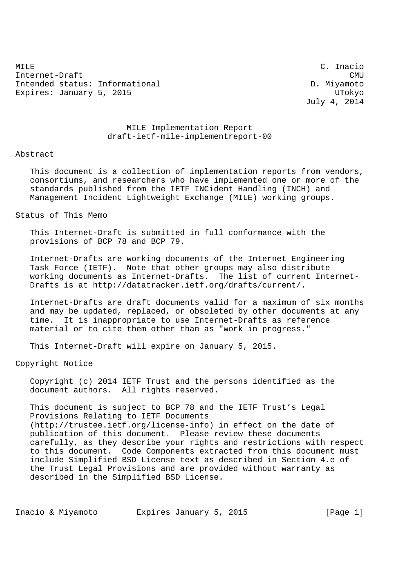MILE C. Inacio Internet-Draft CMU Intended status: Informational D. Miyamoto Expires: January 5, 2015 Channel Communication and UTokyo

July 4, 2014

## MILE Implementation Report draft-ietf-mile-implementreport-00

## Abstract

 This document is a collection of implementation reports from vendors, consortiums, and researchers who have implemented one or more of the standards published from the IETF INCident Handling (INCH) and Management Incident Lightweight Exchange (MILE) working groups.

Status of This Memo

 This Internet-Draft is submitted in full conformance with the provisions of BCP 78 and BCP 79.

 Internet-Drafts are working documents of the Internet Engineering Task Force (IETF). Note that other groups may also distribute working documents as Internet-Drafts. The list of current Internet- Drafts is at http://datatracker.ietf.org/drafts/current/.

 Internet-Drafts are draft documents valid for a maximum of six months and may be updated, replaced, or obsoleted by other documents at any time. It is inappropriate to use Internet-Drafts as reference material or to cite them other than as "work in progress."

This Internet-Draft will expire on January 5, 2015.

Copyright Notice

 Copyright (c) 2014 IETF Trust and the persons identified as the document authors. All rights reserved.

 This document is subject to BCP 78 and the IETF Trust's Legal Provisions Relating to IETF Documents (http://trustee.ietf.org/license-info) in effect on the date of publication of this document. Please review these documents carefully, as they describe your rights and restrictions with respect to this document. Code Components extracted from this document must include Simplified BSD License text as described in Section 4.e of the Trust Legal Provisions and are provided without warranty as described in the Simplified BSD License.

Inacio & Miyamoto Expires January 5, 2015 [Page 1]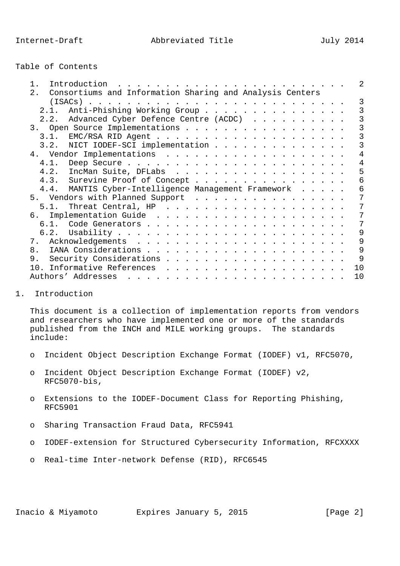|  |  | Table of Contents |
|--|--|-------------------|
|--|--|-------------------|

| $1$ .<br>Introduction                                       |                                                     |  |  |  |  |  |  |  |  |    |
|-------------------------------------------------------------|-----------------------------------------------------|--|--|--|--|--|--|--|--|----|
| 2. Consortiums and Information Sharing and Analysis Centers |                                                     |  |  |  |  |  |  |  |  |    |
|                                                             |                                                     |  |  |  |  |  |  |  |  |    |
|                                                             | 2.1. Anti-Phishing Working Group                    |  |  |  |  |  |  |  |  | 3  |
|                                                             | 2.2. Advanced Cyber Defence Centre (ACDC)           |  |  |  |  |  |  |  |  |    |
| 3. Open Source Implementations                              |                                                     |  |  |  |  |  |  |  |  |    |
|                                                             |                                                     |  |  |  |  |  |  |  |  |    |
|                                                             | 3.2. NICT IODEF-SCI implementation                  |  |  |  |  |  |  |  |  |    |
|                                                             |                                                     |  |  |  |  |  |  |  |  |    |
|                                                             |                                                     |  |  |  |  |  |  |  |  | 4  |
|                                                             | 4.2. IncMan Suite, DFLabs                           |  |  |  |  |  |  |  |  |    |
|                                                             | 4.3. Surevine Proof of Concept                      |  |  |  |  |  |  |  |  | 6  |
|                                                             | 4.4. MANTIS Cyber-Intelligence Management Framework |  |  |  |  |  |  |  |  | 6  |
| 5. Vendors with Planned Support                             |                                                     |  |  |  |  |  |  |  |  |    |
|                                                             |                                                     |  |  |  |  |  |  |  |  |    |
|                                                             |                                                     |  |  |  |  |  |  |  |  |    |
|                                                             |                                                     |  |  |  |  |  |  |  |  |    |
|                                                             |                                                     |  |  |  |  |  |  |  |  | 9  |
|                                                             |                                                     |  |  |  |  |  |  |  |  | 9  |
| 8 <sub>1</sub>                                              |                                                     |  |  |  |  |  |  |  |  | 9  |
|                                                             |                                                     |  |  |  |  |  |  |  |  |    |
|                                                             |                                                     |  |  |  |  |  |  |  |  | 10 |
|                                                             |                                                     |  |  |  |  |  |  |  |  | 10 |
|                                                             |                                                     |  |  |  |  |  |  |  |  |    |

## 1. Introduction

 This document is a collection of implementation reports from vendors and researchers who have implemented one or more of the standards published from the INCH and MILE working groups. The standards include:

- o Incident Object Description Exchange Format (IODEF) v1, RFC5070,
- o Incident Object Description Exchange Format (IODEF) v2, RFC5070-bis,
- o Extensions to the IODEF-Document Class for Reporting Phishing, RFC5901
- o Sharing Transaction Fraud Data, RFC5941
- o IODEF-extension for Structured Cybersecurity Information, RFCXXXX
- o Real-time Inter-network Defense (RID), RFC6545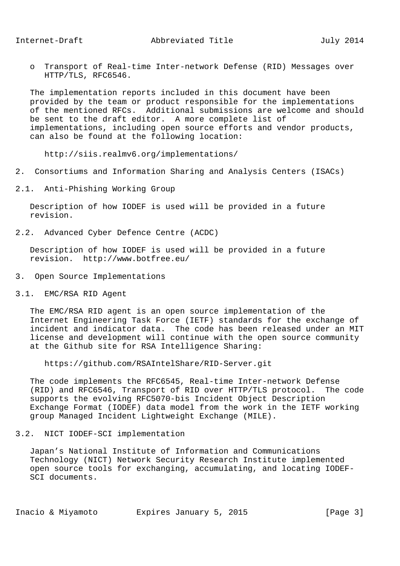o Transport of Real-time Inter-network Defense (RID) Messages over HTTP/TLS, RFC6546.

 The implementation reports included in this document have been provided by the team or product responsible for the implementations of the mentioned RFCs. Additional submissions are welcome and should be sent to the draft editor. A more complete list of implementations, including open source efforts and vendor products, can also be found at the following location:

http://siis.realmv6.org/implementations/

- 2. Consortiums and Information Sharing and Analysis Centers (ISACs)
- 2.1. Anti-Phishing Working Group

 Description of how IODEF is used will be provided in a future revision.

2.2. Advanced Cyber Defence Centre (ACDC)

 Description of how IODEF is used will be provided in a future revision. http://www.botfree.eu/

- 3. Open Source Implementations
- 3.1. EMC/RSA RID Agent

 The EMC/RSA RID agent is an open source implementation of the Internet Engineering Task Force (IETF) standards for the exchange of incident and indicator data. The code has been released under an MIT license and development will continue with the open source community at the Github site for RSA Intelligence Sharing:

https://github.com/RSAIntelShare/RID-Server.git

 The code implements the RFC6545, Real-time Inter-network Defense (RID) and RFC6546, Transport of RID over HTTP/TLS protocol. The code supports the evolving RFC5070-bis Incident Object Description Exchange Format (IODEF) data model from the work in the IETF working group Managed Incident Lightweight Exchange (MILE).

3.2. NICT IODEF-SCI implementation

 Japan's National Institute of Information and Communications Technology (NICT) Network Security Research Institute implemented open source tools for exchanging, accumulating, and locating IODEF- SCI documents.

Inacio & Miyamoto Bxpires January 5, 2015 [Page 3]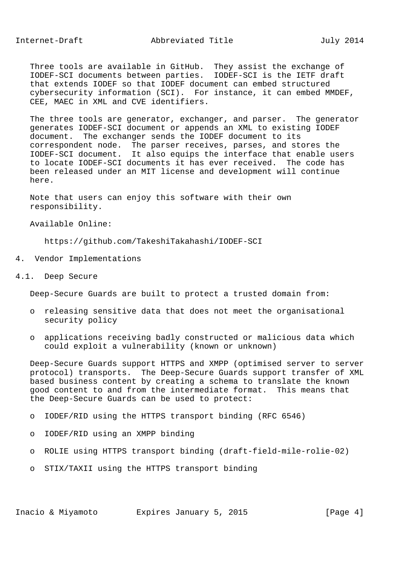Three tools are available in GitHub. They assist the exchange of IODEF-SCI documents between parties. IODEF-SCI is the IETF draft that extends IODEF so that IODEF document can embed structured cybersecurity information (SCI). For instance, it can embed MMDEF, CEE, MAEC in XML and CVE identifiers.

 The three tools are generator, exchanger, and parser. The generator generates IODEF-SCI document or appends an XML to existing IODEF document. The exchanger sends the IODEF document to its correspondent node. The parser receives, parses, and stores the IODEF-SCI document. It also equips the interface that enable users to locate IODEF-SCI documents it has ever received. The code has been released under an MIT license and development will continue here.

 Note that users can enjoy this software with their own responsibility.

Available Online:

https://github.com/TakeshiTakahashi/IODEF-SCI

- 4. Vendor Implementations
- 4.1. Deep Secure

Deep-Secure Guards are built to protect a trusted domain from:

- o releasing sensitive data that does not meet the organisational security policy
- o applications receiving badly constructed or malicious data which could exploit a vulnerability (known or unknown)

 Deep-Secure Guards support HTTPS and XMPP (optimised server to server protocol) transports. The Deep-Secure Guards support transfer of XML based business content by creating a schema to translate the known good content to and from the intermediate format. This means that the Deep-Secure Guards can be used to protect:

- o IODEF/RID using the HTTPS transport binding (RFC 6546)
- o IODEF/RID using an XMPP binding
- o ROLIE using HTTPS transport binding (draft-field-mile-rolie-02)
- o STIX/TAXII using the HTTPS transport binding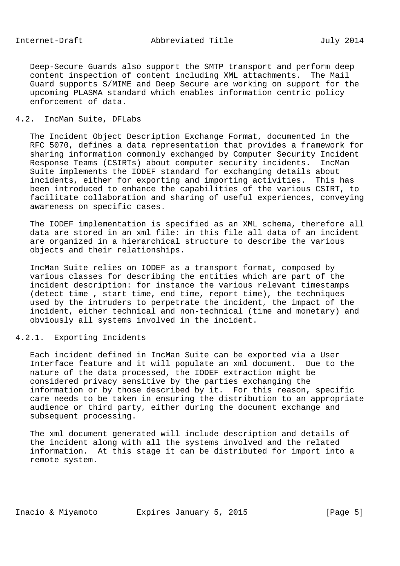Internet-Draft Abbreviated Title July 2014

 Deep-Secure Guards also support the SMTP transport and perform deep content inspection of content including XML attachments. The Mail Guard supports S/MIME and Deep Secure are working on support for the upcoming PLASMA standard which enables information centric policy enforcement of data.

## 4.2. IncMan Suite, DFLabs

 The Incident Object Description Exchange Format, documented in the RFC 5070, defines a data representation that provides a framework for sharing information commonly exchanged by Computer Security Incident Response Teams (CSIRTs) about computer security incidents. IncMan Suite implements the IODEF standard for exchanging details about incidents, either for exporting and importing activities. This has been introduced to enhance the capabilities of the various CSIRT, to facilitate collaboration and sharing of useful experiences, conveying awareness on specific cases.

 The IODEF implementation is specified as an XML schema, therefore all data are stored in an xml file: in this file all data of an incident are organized in a hierarchical structure to describe the various objects and their relationships.

 IncMan Suite relies on IODEF as a transport format, composed by various classes for describing the entities which are part of the incident description: for instance the various relevant timestamps (detect time , start time, end time, report time), the techniques used by the intruders to perpetrate the incident, the impact of the incident, either technical and non-technical (time and monetary) and obviously all systems involved in the incident.

## 4.2.1. Exporting Incidents

 Each incident defined in IncMan Suite can be exported via a User Interface feature and it will populate an xml document. Due to the nature of the data processed, the IODEF extraction might be considered privacy sensitive by the parties exchanging the information or by those described by it. For this reason, specific care needs to be taken in ensuring the distribution to an appropriate audience or third party, either during the document exchange and subsequent processing.

 The xml document generated will include description and details of the incident along with all the systems involved and the related information. At this stage it can be distributed for import into a remote system.

Inacio & Miyamoto Bxpires January 5, 2015 [Page 5]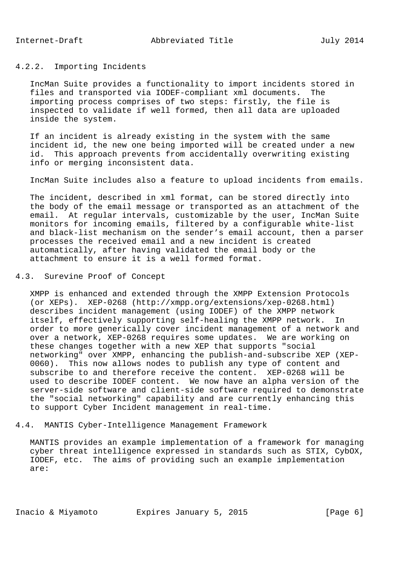# 4.2.2. Importing Incidents

 IncMan Suite provides a functionality to import incidents stored in files and transported via IODEF-compliant xml documents. The importing process comprises of two steps: firstly, the file is inspected to validate if well formed, then all data are uploaded inside the system.

 If an incident is already existing in the system with the same incident id, the new one being imported will be created under a new id. This approach prevents from accidentally overwriting existing info or merging inconsistent data.

IncMan Suite includes also a feature to upload incidents from emails.

 The incident, described in xml format, can be stored directly into the body of the email message or transported as an attachment of the email. At regular intervals, customizable by the user, IncMan Suite monitors for incoming emails, filtered by a configurable white-list and black-list mechanism on the sender's email account, then a parser processes the received email and a new incident is created automatically, after having validated the email body or the attachment to ensure it is a well formed format.

4.3. Surevine Proof of Concept

 XMPP is enhanced and extended through the XMPP Extension Protocols (or XEPs). XEP-0268 (http://xmpp.org/extensions/xep-0268.html) describes incident management (using IODEF) of the XMPP network itself, effectively supporting self-healing the XMPP network. In order to more generically cover incident management of a network and over a network, XEP-0268 requires some updates. We are working on these changes together with a new XEP that supports "social networking" over XMPP, enhancing the publish-and-subscribe XEP (XEP- 0060). This now allows nodes to publish any type of content and subscribe to and therefore receive the content. XEP-0268 will be used to describe IODEF content. We now have an alpha version of the server-side software and client-side software required to demonstrate the "social networking" capability and are currently enhancing this to support Cyber Incident management in real-time.

4.4. MANTIS Cyber-Intelligence Management Framework

 MANTIS provides an example implementation of a framework for managing cyber threat intelligence expressed in standards such as STIX, CybOX, IODEF, etc. The aims of providing such an example implementation are:

Inacio & Miyamoto **Expires January 5, 2015** [Page 6]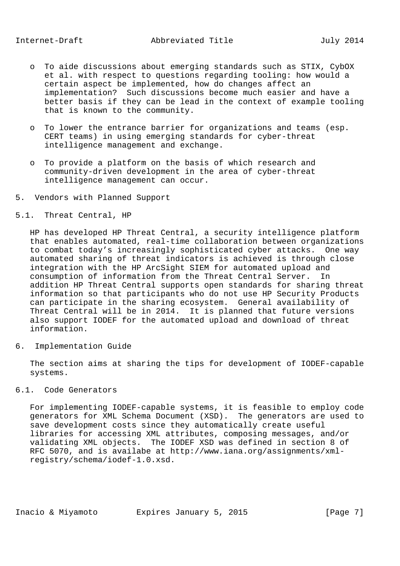- o To aide discussions about emerging standards such as STIX, CybOX et al. with respect to questions regarding tooling: how would a certain aspect be implemented, how do changes affect an implementation? Such discussions become much easier and have a better basis if they can be lead in the context of example tooling that is known to the community.
- o To lower the entrance barrier for organizations and teams (esp. CERT teams) in using emerging standards for cyber-threat intelligence management and exchange.
- o To provide a platform on the basis of which research and community-driven development in the area of cyber-threat intelligence management can occur.
- 5. Vendors with Planned Support
- 5.1. Threat Central, HP

 HP has developed HP Threat Central, a security intelligence platform that enables automated, real-time collaboration between organizations to combat today's increasingly sophisticated cyber attacks. One way automated sharing of threat indicators is achieved is through close integration with the HP ArcSight SIEM for automated upload and consumption of information from the Threat Central Server. In addition HP Threat Central supports open standards for sharing threat information so that participants who do not use HP Security Products can participate in the sharing ecosystem. General availability of Threat Central will be in 2014. It is planned that future versions also support IODEF for the automated upload and download of threat information.

6. Implementation Guide

 The section aims at sharing the tips for development of IODEF-capable systems.

6.1. Code Generators

 For implementing IODEF-capable systems, it is feasible to employ code generators for XML Schema Document (XSD). The generators are used to save development costs since they automatically create useful libraries for accessing XML attributes, composing messages, and/or validating XML objects. The IODEF XSD was defined in section 8 of RFC 5070, and is availabe at http://www.iana.org/assignments/xml registry/schema/iodef-1.0.xsd.

Inacio & Miyamoto Bxpires January 5, 2015 [Page 7]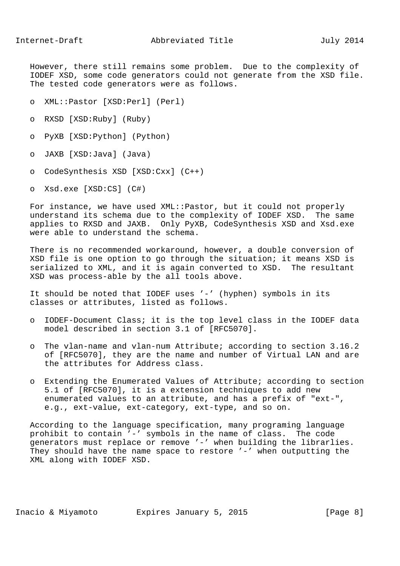However, there still remains some problem. Due to the complexity of IODEF XSD, some code generators could not generate from the XSD file. The tested code generators were as follows.

- o XML::Pastor [XSD:Perl] (Perl)
- o RXSD [XSD:Ruby] (Ruby)
- o PyXB [XSD:Python] (Python)
- o JAXB [XSD:Java] (Java)
- o CodeSynthesis XSD [XSD:Cxx] (C++)
- o Xsd.exe [XSD:CS] (C#)

 For instance, we have used XML::Pastor, but it could not properly understand its schema due to the complexity of IODEF XSD. The same applies to RXSD and JAXB. Only PyXB, CodeSynthesis XSD and Xsd.exe were able to understand the schema.

 There is no recommended workaround, however, a double conversion of XSD file is one option to go through the situation; it means XSD is serialized to XML, and it is again converted to XSD. The resultant XSD was process-able by the all tools above.

 It should be noted that IODEF uses '-' (hyphen) symbols in its classes or attributes, listed as follows.

- o IODEF-Document Class; it is the top level class in the IODEF data model described in section 3.1 of [RFC5070].
- o The vlan-name and vlan-num Attribute; according to section 3.16.2 of [RFC5070], they are the name and number of Virtual LAN and are the attributes for Address class.
- o Extending the Enumerated Values of Attribute; according to section 5.1 of [RFC5070], it is a extension techniques to add new enumerated values to an attribute, and has a prefix of "ext-", e.g., ext-value, ext-category, ext-type, and so on.

 According to the language specification, many programing language prohibit to contain '-' symbols in the name of class. The code generators must replace or remove '-' when building the librarlies. They should have the name space to restore '-' when outputting the XML along with IODEF XSD.

Inacio & Miyamoto **Expires January 5, 2015** [Page 8]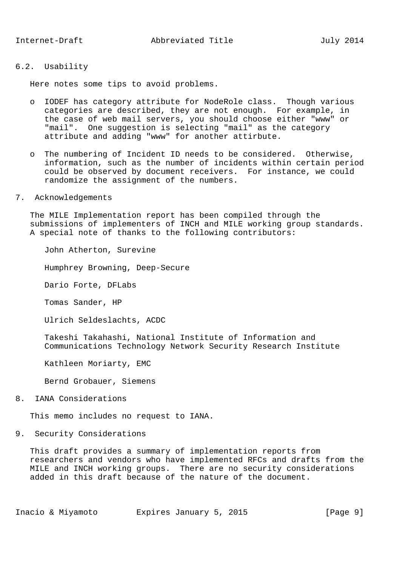Here notes some tips to avoid problems.

- o IODEF has category attribute for NodeRole class. Though various categories are described, they are not enough. For example, in the case of web mail servers, you should choose either "www" or "mail". One suggestion is selecting "mail" as the category attribute and adding "www" for another attirbute.
- o The numbering of Incident ID needs to be considered. Otherwise, information, such as the number of incidents within certain period could be observed by document receivers. For instance, we could randomize the assignment of the numbers.

#### 7. Acknowledgements

 The MILE Implementation report has been compiled through the submissions of implementers of INCH and MILE working group standards. A special note of thanks to the following contributors:

John Atherton, Surevine

Humphrey Browning, Deep-Secure

Dario Forte, DFLabs

Tomas Sander, HP

Ulrich Seldeslachts, ACDC

 Takeshi Takahashi, National Institute of Information and Communications Technology Network Security Research Institute

Kathleen Moriarty, EMC

Bernd Grobauer, Siemens

8. IANA Considerations

This memo includes no request to IANA.

9. Security Considerations

 This draft provides a summary of implementation reports from researchers and vendors who have implemented RFCs and drafts from the MILE and INCH working groups. There are no security considerations added in this draft because of the nature of the document.

Inacio & Miyamoto Bxpires January 5, 2015 [Page 9]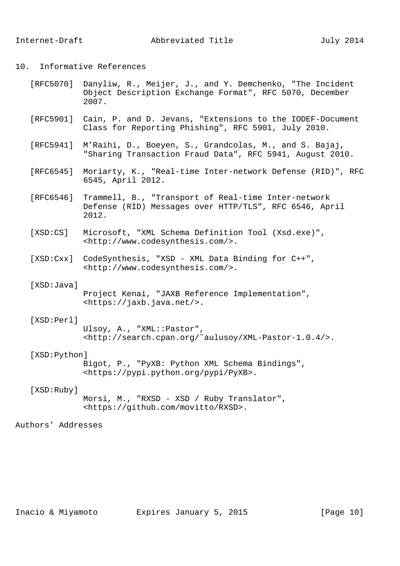10. Informative References

| [RFC5070] Danyliw, R., Meijer, J., and Y. Demchenko, "The Incident |
|--------------------------------------------------------------------|
| Object Description Exchange Format", RFC 5070, December            |
| 2007.                                                              |

- [RFC5901] Cain, P. and D. Jevans, "Extensions to the IODEF-Document Class for Reporting Phishing", RFC 5901, July 2010.
- [RFC5941] M'Raihi, D., Boeyen, S., Grandcolas, M., and S. Bajaj, "Sharing Transaction Fraud Data", RFC 5941, August 2010.
- [RFC6545] Moriarty, K., "Real-time Inter-network Defense (RID)", RFC 6545, April 2012.
- [RFC6546] Trammell, B., "Transport of Real-time Inter-network Defense (RID) Messages over HTTP/TLS", RFC 6546, April 2012.
- [XSD:CS] Microsoft, "XML Schema Definition Tool (Xsd.exe)", <http://www.codesynthesis.com/>.
- [XSD:Cxx] CodeSynthesis, "XSD XML Data Binding for C++", <http://www.codesynthesis.com/>.

### [XSD:Java]

```
 Project Kenai, "JAXB Reference Implementation",
<https://jaxb.java.net/>.
```
## [XSD:Perl]

 Ulsoy, A., "XML::Pastor", <http://search.cpan.org/˜aulusoy/XML-Pastor-1.0.4/>.

#### [XSD:Python]

 Bigot, P., "PyXB: Python XML Schema Bindings", <https://pypi.python.org/pypi/PyXB>.

## [XSD:Ruby]

 Morsi, M., "RXSD - XSD / Ruby Translator", <https://github.com/movitto/RXSD>.

# Authors' Addresses